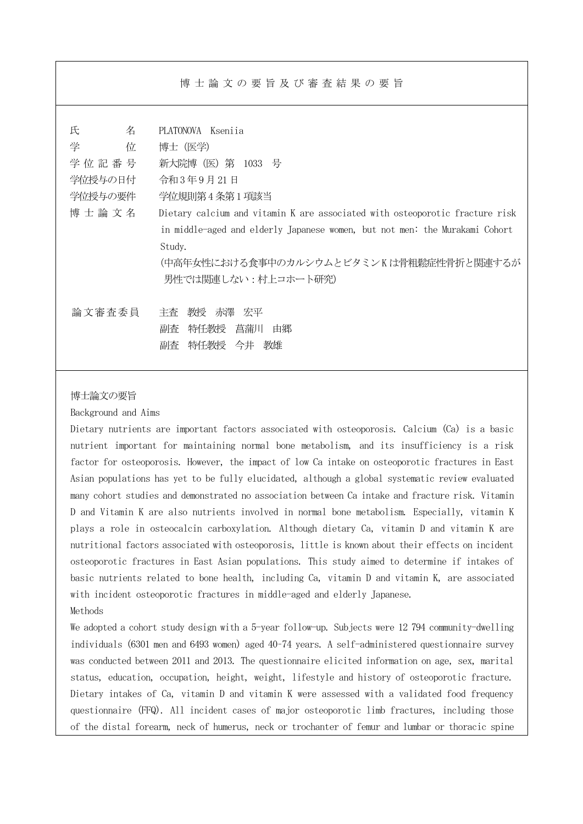博士論文の要旨及び審査結果の要旨

| 氏<br>名    | PLATONOVA Ksenija                                                            |
|-----------|------------------------------------------------------------------------------|
| 学<br>位    | 博士(医学)                                                                       |
| 学位記番号     | 新大院博(医)第 1033 号                                                              |
| 学位授与の日付   | 令和3年9月21日                                                                    |
| 学位授与の要件   | 学位規則第4条第1項該当                                                                 |
| 博 士 論 文 名 | Dietary calcium and vitamin K are associated with osteoporotic fracture risk |
|           | in middle-aged and elderly Japanese women, but not men: the Murakami Cohort  |
|           | Study.                                                                       |
|           | (中高年女性における食事中のカルシウムとビタミンKは骨粗鬆症性骨折と関連するが                                      |
|           | 男性では関連しない:村上コホート研究)                                                          |
|           |                                                                              |
| 論文審査委員    | 教授 赤澤 宏平<br>主杳                                                               |
|           | 特任教授<br>菖蒲川<br>副査<br>由郷                                                      |
|           | 特任教授 今井 教雄<br>副査                                                             |
|           |                                                                              |

## 博士論文の要旨

Background and Aims

Dietary nutrients are important factors associated with osteoporosis. Calcium (Ca) is a basic nutrient important for maintaining normal bone metabolism, and its insufficiency is a risk factor for osteoporosis. However, the impact of low Ca intake on osteoporotic fractures in East Asian populations has yet to be fully elucidated, although a global systematic review evaluated many cohort studies and demonstrated no association between Ca intake and fracture risk. Vitamin D and Vitamin K are also nutrients involved in normal bone metabolism. Especially, vitamin K plays a role in osteocalcin carboxylation. Although dietary Ca, vitamin D and vitamin K are nutritional factors associated with osteoporosis, little is known about their effects on incident osteoporotic fractures in East Asian populations. This study aimed to determine if intakes of basic nutrients related to bone health, including Ca, vitamin D and vitamin K, are associated with incident osteoporotic fractures in middle-aged and elderly Japanese.

Methods

We adopted a cohort study design with a 5-year follow-up. Subjects were 12 794 community-dwelling individuals (6301 men and 6493 women) aged 40–74 years. A self-administered questionnaire survey was conducted between 2011 and 2013. The questionnaire elicited information on age, sex, marital status, education, occupation, height, weight, lifestyle and history of osteoporotic fracture. Dietary intakes of Ca, vitamin D and vitamin K were assessed with a validated food frequency questionnaire (FFQ). All incident cases of major osteoporotic limb fractures, including those of the distal forearm, neck of humerus, neck or trochanter of femur and lumbar or thoracic spine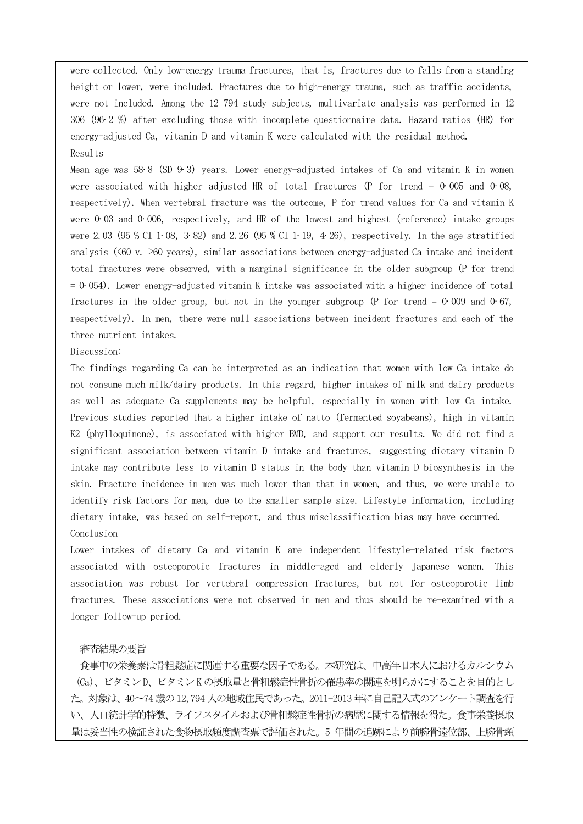were collected. Only low-energy trauma fractures, that is, fractures due to falls from a standing height or lower, were included. Fractures due to high-energy trauma, such as traffic accidents, were not included. Among the 12 794 study subjects, multivariate analysis was performed in 12 306 (96·2 %) after excluding those with incomplete questionnaire data. Hazard ratios (HR) for energy-adjusted Ca, vitamin D and vitamin K were calculated with the residual method. Results

Mean age was 58·8 (SD 9·3) years. Lower energy-adjusted intakes of Ca and vitamin K in women were associated with higher adjusted HR of total fractures (P for trend =  $0.005$  and  $0.08$ , respectively). When vertebral fracture was the outcome, P for trend values for Ca and vitamin K were 0.03 and 0.006, respectively, and HR of the lowest and highest (reference) intake groups were 2.03 (95 % CI 1·08, 3·82) and 2.26 (95 % CI 1·19, 4·26), respectively. In the age stratified analysis ( $\langle 60 \text{ v. } \rangle$   $\geq 60$  years), similar associations between energy-adjusted Ca intake and incident total fractures were observed, with a marginal significance in the older subgroup (P for trend  $= 0.054$ ). Lower energy-adjusted vitamin K intake was associated with a higher incidence of total fractures in the older group, but not in the younger subgroup (P for trend =  $0.009$  and  $0.67$ , respectively). In men, there were null associations between incident fractures and each of the three nutrient intakes.

Discussion:

The findings regarding Ca can be interpreted as an indication that women with low Ca intake do not consume much milk/dairy products. In this regard, higher intakes of milk and dairy products as well as adequate Ca supplements may be helpful, especially in women with low Ca intake. Previous studies reported that a higher intake of natto (fermented soyabeans), high in vitamin K2 (phylloquinone), is associated with higher BMD, and support our results. We did not find a significant association between vitamin D intake and fractures, suggesting dietary vitamin D intake may contribute less to vitamin D status in the body than vitamin D biosynthesis in the skin. Fracture incidence in men was much lower than that in women, and thus, we were unable to identify risk factors for men, due to the smaller sample size. Lifestyle information, including dietary intake, was based on self-report, and thus misclassification bias may have occurred. Conclusion

Lower intakes of dietary Ca and vitamin K are independent lifestyle-related risk factors associated with osteoporotic fractures in middle-aged and elderly Japanese women. This association was robust for vertebral compression fractures, but not for osteoporotic limb fractures. These associations were not observed in men and thus should be re-examined with a longer follow-up period.

## 審査結果の要旨

食事中の栄養素は骨粗鬆症に関連する重要な因子である。本研究は、中高年日本人におけるカルシウム (Ca)、ビタミンD、ビタミンK の摂取量と骨粗鬆症性骨折の罹患率の関連を明らかにすることを目的とし た。対象は、40〜74 歳の12,794 人の地域住民であった。2011-2013 年に自己記入式のアンケート調査を行 い、人口統計学的特徴、ライフスタイルおよび骨粗鬆症性骨折の病歴に関する情報を得た。食事栄養摂取 量は妥当性の検証された食物摂取頻度調査票で評価された。5 年間の追跡により前腕骨遠位部、上腕骨頸